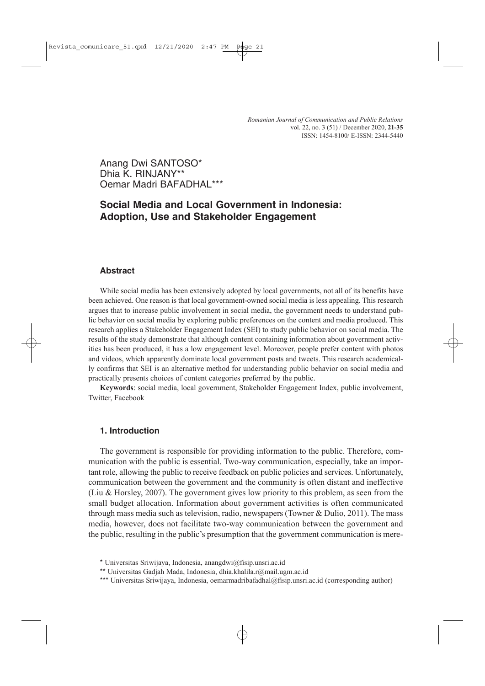# Anang Dwi SANTOSO\* Dhia K. RIN.IANY\*\* Oemar Madri BAFADHAL\*\*\*

# **Social Media and Local Government in Indonesia: Adoption, Use and Stakeholder Engagement**

# **Abstract**

While social media has been extensively adopted by local governments, not all of its benefits have been achieved. One reason is that local government-owned social media is less appealing. This research argues that to increase public involvement in social media, the government needs to understand public behavior on social media by exploring public preferences on the content and media produced. This research applies a Stakeholder Engagement Index (SEI) to study public behavior on social media. The results of the study demonstrate that although content containing information about government activities has been produced, it has a low engagement level. Moreover, people prefer content with photos and videos, which apparently dominate local government posts and tweets. This research academically confirms that SEI is an alternative method for understanding public behavior on social media and practically presents choices of content categories preferred by the public.

**Keywords**: social media, local government, Stakeholder Engagement Index, public involvement, Twitter, Facebook

#### **1. Introduction**

The government is responsible for providing information to the public. Therefore, communication with the public is essential. Two-way communication, especially, take an important role, allowing the public to receive feedback on public policies and services. Unfortunately, communication between the government and the community is often distant and ineffective (Liu & Horsley, 2007). The government gives low priority to this problem, as seen from the small budget allocation. Information about government activities is often communicated through mass media such as television, radio, newspapers (Towner  $& Dulio, 2011$ ). The mass media, however, does not facilitate two-way communication between the government and the public, resulting in the public's presumption that the government communication is mere-

<sup>\*</sup> Universitas Sriwijaya, Indonesia, anangdwi@fisip.unsri.ac.id

<sup>\*\*</sup> Universitas Gadjah Mada, Indonesia, dhia.khalila.r@mail.ugm.ac.id

<sup>\*\*\*</sup> Universitas Sriwijaya, Indonesia, oemarmadribafadhal@fisip.unsri.ac.id (corresponding author)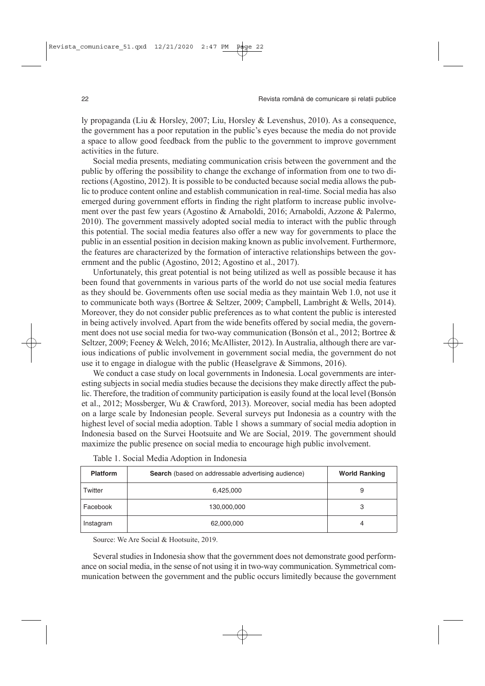ly propaganda (Liu & Horsley, 2007; Liu, Horsley & Levenshus, 2010). As a consequence, the government has a poor reputation in the public's eyes because the media do not provide a space to allow good feedback from the public to the government to improve government activities in the future.

Social media presents, mediating communication crisis between the government and the public by offering the possibility to change the exchange of information from one to two directions (Agostino, 2012). It is possible to be conducted because social media allows the public to produce content online and establish communication in real-time. Social media has also emerged during government efforts in finding the right platform to increase public involvement over the past few years (Agostino & Arnaboldi, 2016; Arnaboldi, Azzone & Palermo, 2010). The government massively adopted social media to interact with the public through this potential. The social media features also offer a new way for governments to place the public in an essential position in decision making known as public involvement. Furthermore, the features are characterized by the formation of interactive relationships between the government and the public (Agostino, 2012; Agostino et al., 2017).

Unfortunately, this great potential is not being utilized as well as possible because it has been found that governments in various parts of the world do not use social media features as they should be. Governments often use social media as they maintain Web 1.0, not use it to communicate both ways (Bortree & Seltzer, 2009; Campbell, Lambright & Wells, 2014). Moreover, they do not consider public preferences as to what content the public is interested in being actively involved. Apart from the wide benefits offered by social media, the government does not use social media for two-way communication (Bonsón et al., 2012; Bortree & Seltzer, 2009; Feeney & Welch, 2016; McAllister, 2012). In Australia, although there are various indications of public involvement in government social media, the government do not use it to engage in dialogue with the public (Heaselgrave & Simmons, 2016).

We conduct a case study on local governments in Indonesia. Local governments are interesting subjects in social media studies because the decisions they make directly affect the public. Therefore, the tradition of community participation is easily found at the local level (Bonsón et al., 2012; Mossberger, Wu & Crawford, 2013). Moreover, social media has been adopted on a large scale by Indonesian people. Several surveys put Indonesia as a country with the highest level of social media adoption. Table 1 shows a summary of social media adoption in Indonesia based on the Survei Hootsuite and We are Social, 2019. The government should maximize the public presence on social media to encourage high public involvement.

| <b>Platform</b> | <b>Search</b> (based on addressable advertising audience) | <b>World Ranking</b> |
|-----------------|-----------------------------------------------------------|----------------------|
| Twitter         | 6,425,000                                                 | 9                    |
| Facebook        | 130,000,000                                               | 3                    |
| Instagram       | 62,000,000                                                | 4                    |

|  |  |  | Table 1. Social Media Adoption in Indonesia |
|--|--|--|---------------------------------------------|
|  |  |  |                                             |

Source: We Are Social & Hootsuite, 2019.

Several studies in Indonesia show that the government does not demonstrate good performance on social media, in the sense of not using it in two-way communication. Symmetrical communication between the government and the public occurs limitedly because the government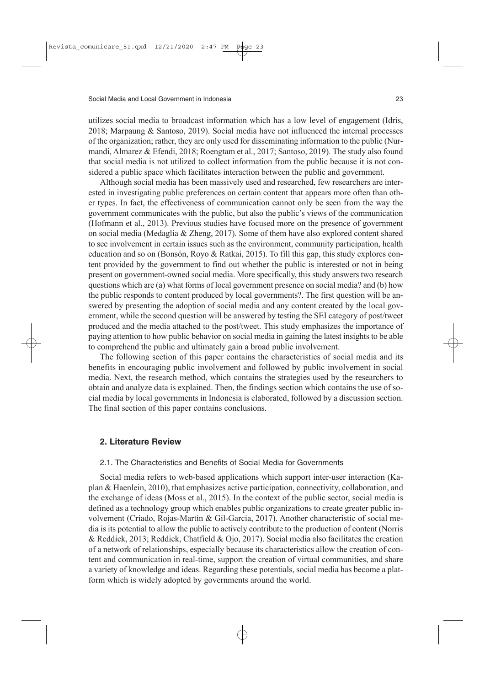utilizes social media to broadcast information which has a low level of engagement (Idris, 2018; Marpaung & Santoso, 2019). Social media have not influenced the internal processes of the organization; rather, they are only used for disseminating information to the public (Nurmandi, Almarez & Efendi, 2018; Roengtam et al., 2017; Santoso, 2019). The study also found that social media is not utilized to collect information from the public because it is not considered a public space which facilitates interaction between the public and government.

Although social media has been massively used and researched, few researchers are interested in investigating public preferences on certain content that appears more often than other types. In fact, the effectiveness of communication cannot only be seen from the way the government communicates with the public, but also the public's views of the communication (Hofmann et al., 2013). Previous studies have focused more on the presence of government on social media (Medaglia & Zheng, 2017). Some of them have also explored content shared to see involvement in certain issues such as the environment, community participation, health education and so on (Bonsón, Royo & Ratkai, 2015). To fill this gap, this study explores content provided by the government to find out whether the public is interested or not in being present on government-owned social media. More specifically, this study answers two research questions which are (a) what forms of local government presence on social media? and (b) how the public responds to content produced by local governments?. The first question will be answered by presenting the adoption of social media and any content created by the local government, while the second question will be answered by testing the SEI category of post/tweet produced and the media attached to the post/tweet. This study emphasizes the importance of paying attention to how public behavior on social media in gaining the latest insights to be able to comprehend the public and ultimately gain a broad public involvement.

The following section of this paper contains the characteristics of social media and its benefits in encouraging public involvement and followed by public involvement in social media. Next, the research method, which contains the strategies used by the researchers to obtain and analyze data is explained. Then, the findings section which contains the use of social media by local governments in Indonesia is elaborated, followed by a discussion section. The final section of this paper contains conclusions.

#### **2. Literature Review**

#### 2.1. The Characteristics and Benefits of Social Media for Governments

Social media refers to web-based applications which support inter-user interaction (Kaplan & Haenlein, 2010), that emphasizes active participation, connectivity, collaboration, and the exchange of ideas (Moss et al., 2015). In the context of the public sector, social media is defined as a technology group which enables public organizations to create greater public involvement (Criado, Rojas-Martín & Gil-Garcia, 2017). Another characteristic of social media is its potential to allow the public to actively contribute to the production of content (Norris & Reddick, 2013; Reddick, Chatfield & Ojo, 2017). Social media also facilitates the creation of a network of relationships, especially because its characteristics allow the creation of content and communication in real-time, support the creation of virtual communities, and share a variety of knowledge and ideas. Regarding these potentials, social media has become a platform which is widely adopted by governments around the world.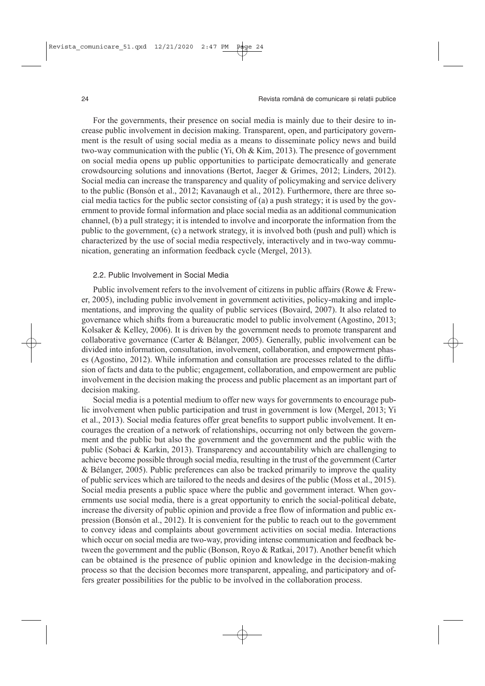For the governments, their presence on social media is mainly due to their desire to increase public involvement in decision making. Transparent, open, and participatory government is the result of using social media as a means to disseminate policy news and build two-way communication with the public (Yi, Oh & Kim, 2013). The presence of government on social media opens up public opportunities to participate democratically and generate crowdsourcing solutions and innovations (Bertot, Jaeger & Grimes, 2012; Linders, 2012). Social media can increase the transparency and quality of policymaking and service delivery to the public (Bonsón et al., 2012; Kavanaugh et al., 2012). Furthermore, there are three social media tactics for the public sector consisting of (a) a push strategy; it is used by the government to provide formal information and place social media as an additional communication channel, (b) a pull strategy; it is intended to involve and incorporate the information from the public to the government, (c) a network strategy, it is involved both (push and pull) which is characterized by the use of social media respectively, interactively and in two-way communication, generating an information feedback cycle (Mergel, 2013).

#### 2.2. Public Involvement in Social Media

Public involvement refers to the involvement of citizens in public affairs (Rowe & Frewer, 2005), including public involvement in government activities, policy-making and implementations, and improving the quality of public services (Bovaird, 2007). It also related to governance which shifts from a bureaucratic model to public involvement (Agostino, 2013; Kolsaker & Kelley, 2006). It is driven by the government needs to promote transparent and collaborative governance (Carter & Bélanger, 2005). Generally, public involvement can be divided into information, consultation, involvement, collaboration, and empowerment phases (Agostino, 2012). While information and consultation are processes related to the diffusion of facts and data to the public; engagement, collaboration, and empowerment are public involvement in the decision making the process and public placement as an important part of decision making.

Social media is a potential medium to offer new ways for governments to encourage public involvement when public participation and trust in government is low (Mergel, 2013; Yi et al., 2013). Social media features offer great benefits to support public involvement. It encourages the creation of a network of relationships, occurring not only between the government and the public but also the government and the government and the public with the public (Sobaci & Karkin, 2013). Transparency and accountability which are challenging to achieve become possible through social media, resulting in the trust of the government (Carter & Bélanger, 2005). Public preferences can also be tracked primarily to improve the quality of public services which are tailored to the needs and desires of the public (Moss et al., 2015). Social media presents a public space where the public and government interact. When governments use social media, there is a great opportunity to enrich the social-political debate, increase the diversity of public opinion and provide a free flow of information and public expression (Bonsón et al., 2012). It is convenient for the public to reach out to the government to convey ideas and complaints about government activities on social media. Interactions which occur on social media are two-way, providing intense communication and feedback between the government and the public (Bonson, Royo & Ratkai, 2017). Another benefit which can be obtained is the presence of public opinion and knowledge in the decision-making process so that the decision becomes more transparent, appealing, and participatory and offers greater possibilities for the public to be involved in the collaboration process.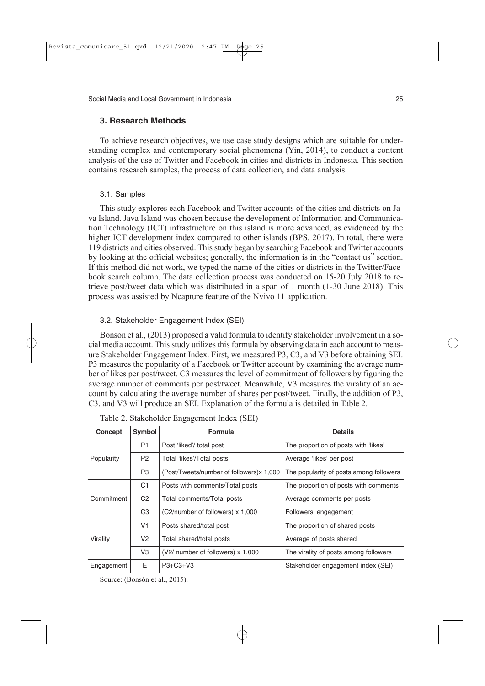## **3. Research Methods**

To achieve research objectives, we use case study designs which are suitable for understanding complex and contemporary social phenomena (Yin, 2014), to conduct a content analysis of the use of Twitter and Facebook in cities and districts in Indonesia. This section contains research samples, the process of data collection, and data analysis.

#### 3.1. Samples

This study explores each Facebook and Twitter accounts of the cities and districts on Java Island. Java Island was chosen because the development of Information and Communication Technology (ICT) infrastructure on this island is more advanced, as evidenced by the higher ICT development index compared to other islands (BPS, 2017). In total, there were 119 districts and cities observed. This study began by searching Facebook and Twitter accounts by looking at the official websites; generally, the information is in the "contact us" section. If this method did not work, we typed the name of the cities or districts in the Twitter/Facebook search column. The data collection process was conducted on 15-20 July 2018 to retrieve post/tweet data which was distributed in a span of 1 month (1-30 June 2018). This process was assisted by Ncapture feature of the Nvivo 11 application.

#### 3.2. Stakeholder Engagement Index (SEI)

Bonson et al., (2013) proposed a valid formula to identify stakeholder involvement in a social media account. This study utilizes this formula by observing data in each account to measure Stakeholder Engagement Index. First, we measured P3, C3, and V3 before obtaining SEI. P3 measures the popularity of a Facebook or Twitter account by examining the average number of likes per post/tweet. C3 measures the level of commitment of followers by figuring the average number of comments per post/tweet. Meanwhile, V3 measures the virality of an account by calculating the average number of shares per post/tweet. Finally, the addition of P3, C3, and V3 will produce an SEI. Explanation of the formula is detailed in Table 2.

| Concept    | Symbol         | <b>Formula</b>                           | <b>Details</b>                          |  |
|------------|----------------|------------------------------------------|-----------------------------------------|--|
|            | P <sub>1</sub> | Post 'liked'/ total post                 | The proportion of posts with 'likes'    |  |
| Popularity | P <sub>2</sub> | Total 'likes'/Total posts                | Average 'likes' per post                |  |
|            | P <sub>3</sub> | (Post/Tweets/number of followers)x 1,000 | The popularity of posts among followers |  |
| Commitment | C <sub>1</sub> | Posts with comments/Total posts          | The proportion of posts with comments   |  |
|            | C <sub>2</sub> | Total comments/Total posts               | Average comments per posts              |  |
|            | C <sub>3</sub> | (C2/number of followers) x 1,000         | Followers' engagement                   |  |
|            | V <sub>1</sub> | Posts shared/total post                  | The proportion of shared posts          |  |
| Virality   | V <sub>2</sub> | Total shared/total posts                 | Average of posts shared                 |  |
|            | V3             | (V2/ number of followers) x 1,000        | The virality of posts among followers   |  |
| Engagement | E.             | $P3 + C3 + V3$                           | Stakeholder engagement index (SEI)      |  |

Table 2. Stakeholder Engagement Index (SEI)

Source: (Bonsón et al., 2015).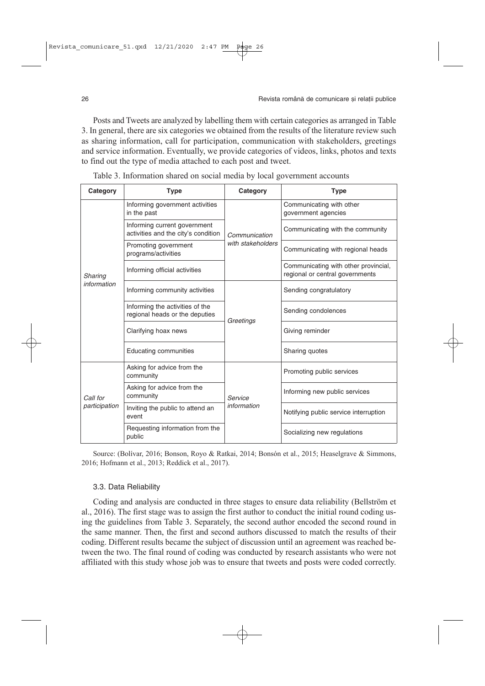Posts and Tweets are analyzed by labelling them with certain categories as arranged in Table 3. In general, there are six categories we obtained from the results of the literature review such as sharing information, call for participation, communication with stakeholders, greetings and service information. Eventually, we provide categories of videos, links, photos and texts to find out the type of media attached to each post and tweet.

| Category                  | <b>Type</b>                                                         | Category          | <b>Type</b>                                                             |
|---------------------------|---------------------------------------------------------------------|-------------------|-------------------------------------------------------------------------|
|                           | Informing government activities<br>in the past                      |                   | Communicating with other<br>government agencies                         |
|                           | Informing current government<br>activities and the city's condition | Communication     | Communicating with the community                                        |
|                           | Promoting government<br>programs/activities                         | with stakeholders | Communicating with regional heads                                       |
| Sharing                   | Informing official activities                                       |                   | Communicating with other provincial,<br>regional or central governments |
| information               | Informing community activities                                      |                   | Sending congratulatory                                                  |
|                           | Informing the activities of the<br>regional heads or the deputies   | Greetings         | Sending condolences                                                     |
|                           | Clarifying hoax news                                                |                   | Giving reminder                                                         |
|                           | <b>Educating communities</b>                                        |                   | Sharing quotes                                                          |
|                           | Asking for advice from the<br>community                             |                   | Promoting public services                                               |
| Call for<br>participation | Asking for advice from the<br>community                             | Service           | Informing new public services                                           |
|                           | Inviting the public to attend an<br>event                           | information       | Notifying public service interruption                                   |
|                           | Requesting information from the<br>public                           |                   | Socializing new regulations                                             |

Table 3. Information shared on social media by local government accounts

Source: (Bolívar, 2016; Bonson, Royo & Ratkai, 2014; Bonsón et al., 2015; Heaselgrave & Simmons, 2016; Hofmann et al., 2013; Reddick et al., 2017).

#### 3.3. Data Reliability

Coding and analysis are conducted in three stages to ensure data reliability (Bellström et al., 2016). The first stage was to assign the first author to conduct the initial round coding using the guidelines from Table 3. Separately, the second author encoded the second round in the same manner. Then, the first and second authors discussed to match the results of their coding. Different results became the subject of discussion until an agreement was reached between the two. The final round of coding was conducted by research assistants who were not affiliated with this study whose job was to ensure that tweets and posts were coded correctly.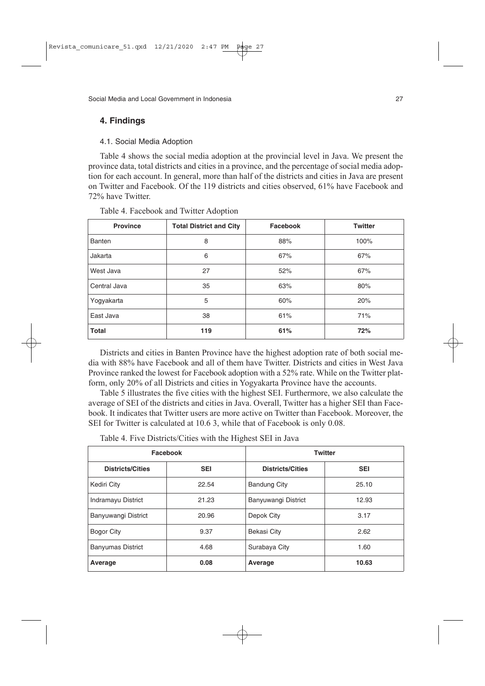# **4. Findings**

### 4.1. Social Media Adoption

Table 4 shows the social media adoption at the provincial level in Java. We present the province data, total districts and cities in a province, and the percentage of social media adoption for each account. In general, more than half of the districts and cities in Java are present on Twitter and Facebook. Of the 119 districts and cities observed, 61% have Facebook and 72% have Twitter.

| <b>Province</b>    | <b>Total District and City</b> | Facebook | <b>Twitter</b> |
|--------------------|--------------------------------|----------|----------------|
| Banten             | 8                              | 88%      | 100%           |
| Jakarta            | 6                              | 67%      | 67%            |
| West Java          | 27                             | 52%      | 67%            |
| Central Java<br>35 |                                | 63%      | 80%            |
| 5<br>Yogyakarta    |                                | 60%      | 20%            |
| East Java          | 38                             | 61%      | 71%            |
| <b>Total</b>       | 119                            | 61%      | 72%            |

Table 4. Facebook and Twitter Adoption

Districts and cities in Banten Province have the highest adoption rate of both social media with 88% have Facebook and all of them have Twitter. Districts and cities in West Java Province ranked the lowest for Facebook adoption with a 52% rate. While on the Twitter platform, only 20% of all Districts and cities in Yogyakarta Province have the accounts.

Table 5 illustrates the five cities with the highest SEI. Furthermore, we also calculate the average of SEI of the districts and cities in Java. Overall, Twitter has a higher SEI than Facebook. It indicates that Twitter users are more active on Twitter than Facebook. Moreover, the SEI for Twitter is calculated at 10.6 3, while that of Facebook is only 0.08.

|                          | Facebook   | <b>Twitter</b>          |            |  |  |
|--------------------------|------------|-------------------------|------------|--|--|
| <b>Districts/Cities</b>  | <b>SEI</b> | <b>Districts/Cities</b> | <b>SEI</b> |  |  |
| Kediri City              | 22.54      | <b>Bandung City</b>     | 25.10      |  |  |
| Indramayu District       | 21.23      | Banyuwangi District     | 12.93      |  |  |
| Banyuwangi District      | 20.96      | Depok City              | 3.17       |  |  |
| <b>Bogor City</b>        | 9.37       | Bekasi City             | 2.62       |  |  |
| <b>Banyumas District</b> | 4.68       | Surabaya City           | 1.60       |  |  |
| Average                  | 0.08       | Average                 | 10.63      |  |  |

Table 4. Five Districts/Cities with the Highest SEI in Java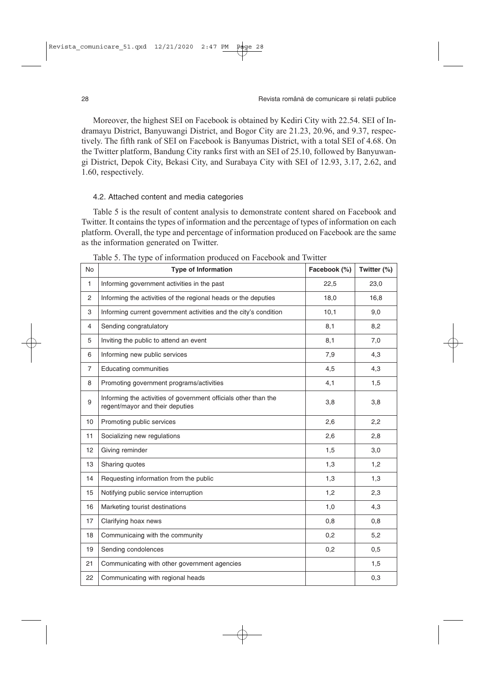Moreover, the highest SEI on Facebook is obtained by Kediri City with 22.54. SEI of Indramayu District, Banyuwangi District, and Bogor City are 21.23, 20.96, and 9.37, respectively. The fifth rank of SEI on Facebook is Banyumas District, with a total SEI of 4.68. On the Twitter platform, Bandung City ranks first with an SEI of 25.10, followed by Banyuwangi District, Depok City, Bekasi City, and Surabaya City with SEI of 12.93, 3.17, 2.62, and 1.60, respectively.

#### 4.2. Attached content and media categories

Table 5 is the result of content analysis to demonstrate content shared on Facebook and Twitter. It contains the types of information and the percentage of types of information on each platform. Overall, the type and percentage of information produced on Facebook are the same as the information generated on Twitter.

| <b>No</b>      | <b>Type of Information</b>                                                                         | Facebook (%) | Twitter (%) |
|----------------|----------------------------------------------------------------------------------------------------|--------------|-------------|
| $\mathbf{1}$   | Informing government activities in the past                                                        | 22,5         | 23,0        |
| 2              | Informing the activities of the regional heads or the deputies                                     | 18,0         | 16,8        |
| 3              | Informing current government activities and the city's condition                                   | 10,1         | 9,0         |
| 4              | Sending congratulatory                                                                             | 8,1          | 8,2         |
| 5              | Inviting the public to attend an event                                                             | 8,1          | 7,0         |
| 6              | Informing new public services                                                                      | 7,9          | 4,3         |
| $\overline{7}$ | <b>Educating communities</b>                                                                       | 4,5          | 4,3         |
| 8              | Promoting government programs/activities                                                           | 4,1          | 1,5         |
| 9              | Informing the activities of government officials other than the<br>regent/mayor and their deputies | 3,8          | 3,8         |
| 10             | Promoting public services                                                                          | 2,6          | 2,2         |
| 11             | Socializing new regulations                                                                        | 2,6          | 2,8         |
| 12             | Giving reminder                                                                                    | 1,5          | 3,0         |
| 13             | Sharing quotes                                                                                     | 1.3          | 1.2         |
| 14             | Requesting information from the public                                                             | 1,3          | 1,3         |
| 15             | Notifying public service interruption                                                              | 1,2          | 2,3         |
| 16             | Marketing tourist destinations                                                                     | 1,0          | 4,3         |
| 17             | Clarifying hoax news                                                                               | 0,8          | 0,8         |
| 18             | Communicaing with the community                                                                    | 0,2          | 5,2         |
| 19             | Sending condolences                                                                                | 0,2          | 0,5         |
| 21             | Communicating with other government agencies                                                       |              | 1,5         |
| 22             | Communicating with regional heads                                                                  |              | 0,3         |

Table 5. The type of information produced on Facebook and Twitter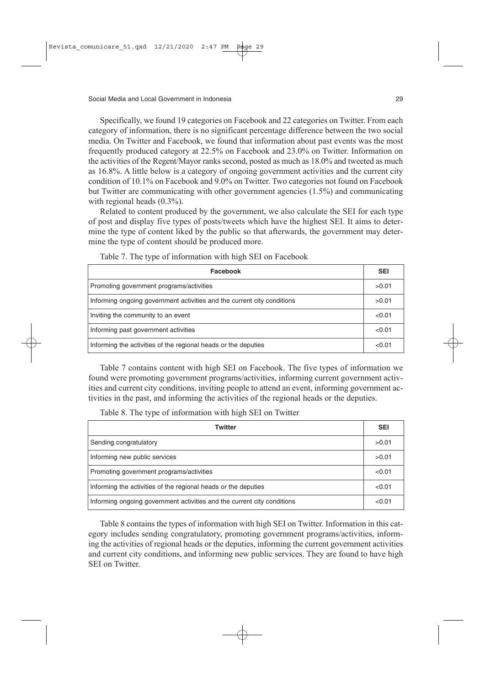Specifically, we found 19 categories on Facebook and 22 categories on Twitter. From each category of information, there is no significant percentage difference between the two social media. On Twitter and Facebook, we found that information about past events was the most frequently produced category at 22.5% on Facebook and 23.0% on Twitter. Information on the activities of the Regent/Mayor ranks second, posted as much as 18.0% and tweeted as much as 16.8%. A little below is a category of ongoing government activities and the current city condition of 10.1% on Facebook and 9.0% on Twitter. Two categories not found on Facebook but Twitter are communicating with other government agencies (1.5%) and communicating with regional heads  $(0.3\%)$ .

Related to content produced by the government, we also calculate the SEI for each type of post and display five types of posts/tweets which have the highest SEI. It aims to determine the type of content liked by the public so that afterwards, the government may determine the type of content should be produced more.

| Facebook                                                                | <b>SEI</b> |  |
|-------------------------------------------------------------------------|------------|--|
| Promoting government programs/activities                                | >0.01      |  |
| Informing ongoing government activities and the current city conditions |            |  |
| Inviting the community to an event                                      |            |  |
| Informing past government activities                                    |            |  |
| Informing the activities of the regional heads or the deputies          | < 0.01     |  |

Table 7. The type of information with high SEI on Facebook

Table 7 contains content with high SEI on Facebook. The five types of information we found were promoting government programs/activities, informing current government activities and current city conditions, inviting people to attend an event, informing government activities in the past, and informing the activities of the regional heads or the deputies.

Table 8. The type of information with high SEI on Twitter

| Twitter                                                                 |        |  |
|-------------------------------------------------------------------------|--------|--|
| Sending congratulatory                                                  | >0.01  |  |
| Informing new public services                                           | >0.01  |  |
| Promoting government programs/activities                                |        |  |
| Informing the activities of the regional heads or the deputies          |        |  |
| Informing ongoing government activities and the current city conditions | < 0.01 |  |

Table 8 contains the types of information with high SEI on Twitter. Information in this category includes sending congratulatory, promoting government programs/activities, informing the activities of regional heads or the deputies, informing the current government activities and current city conditions, and informing new public services. They are found to have high SEI on Twitter.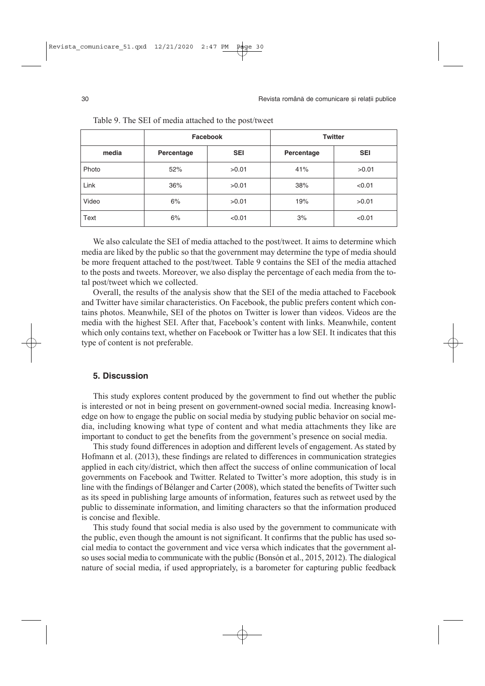|       | Facebook   |            |            | <b>Twitter</b> |
|-------|------------|------------|------------|----------------|
| media | Percentage | <b>SEI</b> | Percentage | <b>SEI</b>     |
| Photo | 52%        | >0.01      | 41%        | >0.01          |
| Link  | 36%        | >0.01      | 38%        | < 0.01         |
| Video | 6%         | >0.01      | 19%        | >0.01          |
| Text  | 6%         | < 0.01     | 3%         | < 0.01         |

Table 9. The SEI of media attached to the post/tweet

We also calculate the SEI of media attached to the post/tweet. It aims to determine which media are liked by the public so that the government may determine the type of media should be more frequent attached to the post/tweet. Table 9 contains the SEI of the media attached to the posts and tweets. Moreover, we also display the percentage of each media from the total post/tweet which we collected.

Overall, the results of the analysis show that the SEI of the media attached to Facebook and Twitter have similar characteristics. On Facebook, the public prefers content which contains photos. Meanwhile, SEI of the photos on Twitter is lower than videos. Videos are the media with the highest SEI. After that, Facebook's content with links. Meanwhile, content which only contains text, whether on Facebook or Twitter has a low SEI. It indicates that this type of content is not preferable.

# **5. Discussion**

This study explores content produced by the government to find out whether the public is interested or not in being present on government-owned social media. Increasing knowledge on how to engage the public on social media by studying public behavior on social media, including knowing what type of content and what media attachments they like are important to conduct to get the benefits from the government's presence on social media.

This study found differences in adoption and different levels of engagement. As stated by Hofmann et al. (2013), these findings are related to differences in communication strategies applied in each city/district, which then affect the success of online communication of local governments on Facebook and Twitter. Related to Twitter's more adoption, this study is in line with the findings of Bélanger and Carter (2008), which stated the benefits of Twitter such as its speed in publishing large amounts of information, features such as retweet used by the public to disseminate information, and limiting characters so that the information produced is concise and flexible.

This study found that social media is also used by the government to communicate with the public, even though the amount is not significant. It confirms that the public has used social media to contact the government and vice versa which indicates that the government also uses social media to communicate with the public (Bonsón et al., 2015, 2012). The dialogical nature of social media, if used appropriately, is a barometer for capturing public feedback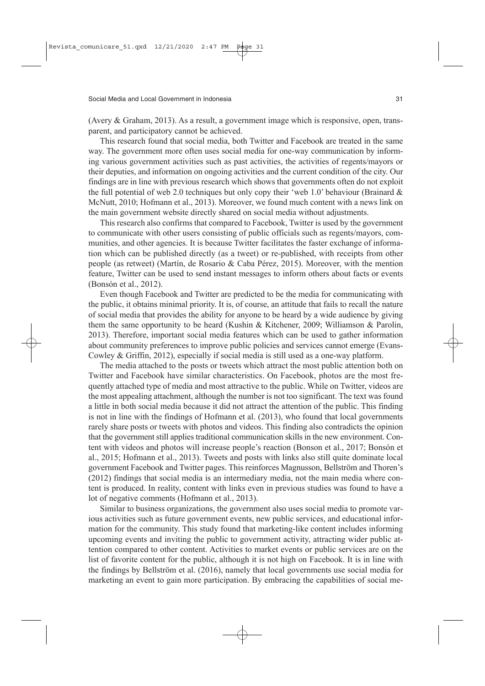(Avery & Graham, 2013). As a result, a government image which is responsive, open, transparent, and participatory cannot be achieved.

This research found that social media, both Twitter and Facebook are treated in the same way. The government more often uses social media for one-way communication by informing various government activities such as past activities, the activities of regents/mayors or their deputies, and information on ongoing activities and the current condition of the city. Our findings are in line with previous research which shows that governments often do not exploit the full potential of web 2.0 techniques but only copy their 'web 1.0' behaviour (Brainard  $\&$ McNutt, 2010; Hofmann et al., 2013). Moreover, we found much content with a news link on the main government website directly shared on social media without adjustments.

This research also confirms that compared to Facebook, Twitter is used by the government to communicate with other users consisting of public officials such as regents/mayors, communities, and other agencies. It is because Twitter facilitates the faster exchange of information which can be published directly (as a tweet) or re-published, with receipts from other people (as retweet) (Martín, de Rosario & Caba Pérez, 2015). Moreover, with the mention feature, Twitter can be used to send instant messages to inform others about facts or events (Bonsón et al., 2012).

Even though Facebook and Twitter are predicted to be the media for communicating with the public, it obtains minimal priority. It is, of course, an attitude that fails to recall the nature of social media that provides the ability for anyone to be heard by a wide audience by giving them the same opportunity to be heard (Kushin & Kitchener, 2009; Williamson & Parolin, 2013). Therefore, important social media features which can be used to gather information about community preferences to improve public policies and services cannot emerge (Evans-Cowley & Griffin, 2012), especially if social media is still used as a one-way platform.

The media attached to the posts or tweets which attract the most public attention both on Twitter and Facebook have similar characteristics. On Facebook, photos are the most frequently attached type of media and most attractive to the public. While on Twitter, videos are the most appealing attachment, although the number is not too significant. The text was found a little in both social media because it did not attract the attention of the public. This finding is not in line with the findings of Hofmann et al. (2013), who found that local governments rarely share posts or tweets with photos and videos. This finding also contradicts the opinion that the government still applies traditional communication skills in the new environment. Content with videos and photos will increase people's reaction (Bonson et al., 2017; Bonsón et al., 2015; Hofmann et al., 2013). Tweets and posts with links also still quite dominate local government Facebook and Twitter pages. This reinforces Magnusson, Bellström and Thoren's (2012) findings that social media is an intermediary media, not the main media where content is produced. In reality, content with links even in previous studies was found to have a lot of negative comments (Hofmann et al., 2013).

Similar to business organizations, the government also uses social media to promote various activities such as future government events, new public services, and educational information for the community. This study found that marketing-like content includes informing upcoming events and inviting the public to government activity, attracting wider public attention compared to other content. Activities to market events or public services are on the list of favorite content for the public, although it is not high on Facebook. It is in line with the findings by Bellström et al. (2016), namely that local governments use social media for marketing an event to gain more participation. By embracing the capabilities of social me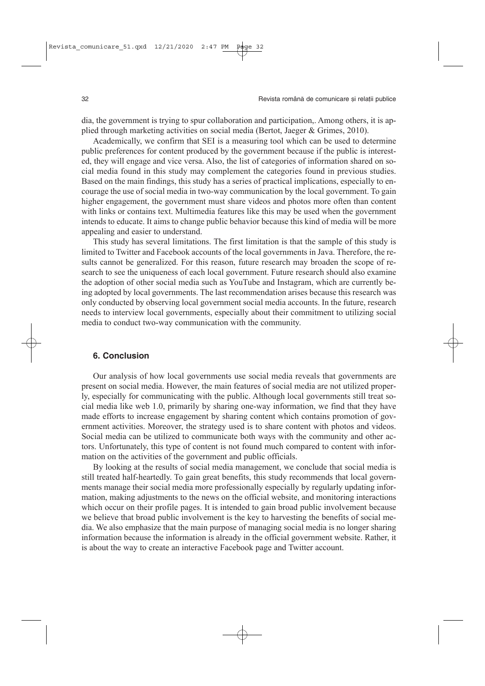dia, the government is trying to spur collaboration and participation,. Among others, it is applied through marketing activities on social media (Bertot, Jaeger & Grimes, 2010).

Academically, we confirm that SEI is a measuring tool which can be used to determine public preferences for content produced by the government because if the public is interested, they will engage and vice versa. Also, the list of categories of information shared on social media found in this study may complement the categories found in previous studies. Based on the main findings, this study has a series of practical implications, especially to encourage the use of social media in two-way communication by the local government. To gain higher engagement, the government must share videos and photos more often than content with links or contains text. Multimedia features like this may be used when the government intends to educate. It aims to change public behavior because this kind of media will be more appealing and easier to understand.

This study has several limitations. The first limitation is that the sample of this study is limited to Twitter and Facebook accounts of the local governments in Java. Therefore, the results cannot be generalized. For this reason, future research may broaden the scope of research to see the uniqueness of each local government. Future research should also examine the adoption of other social media such as YouTube and Instagram, which are currently being adopted by local governments. The last recommendation arises because this research was only conducted by observing local government social media accounts. In the future, research needs to interview local governments, especially about their commitment to utilizing social media to conduct two-way communication with the community.

## **6. Conclusion**

Our analysis of how local governments use social media reveals that governments are present on social media. However, the main features of social media are not utilized properly, especially for communicating with the public. Although local governments still treat social media like web 1.0, primarily by sharing one-way information, we find that they have made efforts to increase engagement by sharing content which contains promotion of government activities. Moreover, the strategy used is to share content with photos and videos. Social media can be utilized to communicate both ways with the community and other actors. Unfortunately, this type of content is not found much compared to content with information on the activities of the government and public officials.

By looking at the results of social media management, we conclude that social media is still treated half-heartedly. To gain great benefits, this study recommends that local governments manage their social media more professionally especially by regularly updating information, making adjustments to the news on the official website, and monitoring interactions which occur on their profile pages. It is intended to gain broad public involvement because we believe that broad public involvement is the key to harvesting the benefits of social media. We also emphasize that the main purpose of managing social media is no longer sharing information because the information is already in the official government website. Rather, it is about the way to create an interactive Facebook page and Twitter account.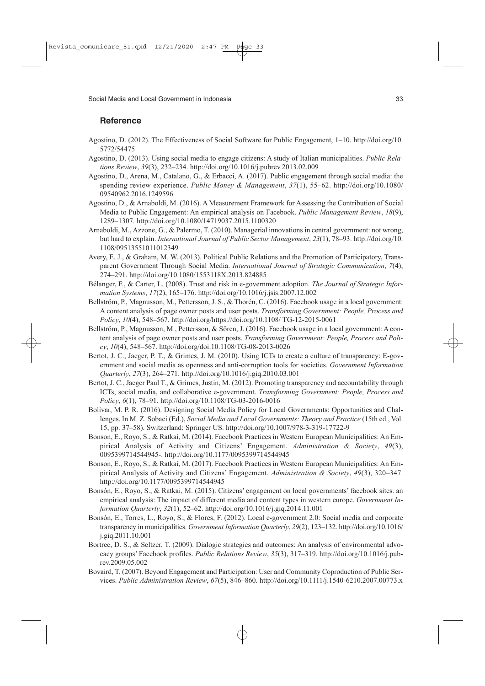# **Reference**

- Agostino, D. (2012). The Effectiveness of Social Software for Public Engagement, 1–10. http://doi.org/10. 5772/54475
- Agostino, D. (2013). Using social media to engage citizens: A study of Italian municipalities. *Public Relations Review*, *39*(3), 232–234. http://doi.org/10.1016/j.pubrev.2013.02.009
- Agostino, D., Arena, M., Catalano, G., & Erbacci, A. (2017). Public engagement through social media: the spending review experience. *Public Money & Management*, *37*(1), 55–62. http://doi.org/10.1080/ 09540962.2016.1249596
- Agostino, D., & Arnaboldi, M. (2016). A Measurement Framework for Assessing the Contribution of Social Media to Public Engagement: An empirical analysis on Facebook. *Public Management Review*, *18*(9), 1289–1307. http://doi.org/10.1080/14719037.2015.1100320
- Arnaboldi, M., Azzone, G., & Palermo, T. (2010). Managerial innovations in central government: not wrong, but hard to explain. *International Journal of Public Sector Management*, *23*(1), 78–93. http://doi.org/10. 1108/09513551011012349
- Avery, E. J., & Graham, M. W. (2013). Political Public Relations and the Promotion of Participatory, Transparent Government Through Social Media. *International Journal of Strategic Communication*, *7*(4), 274–291. http://doi.org/10.1080/1553118X.2013.824885
- Bélanger, F., & Carter, L. (2008). Trust and risk in e-government adoption. *The Journal of Strategic Information Systems*, *17*(2), 165–176. http://doi.org/10.1016/j.jsis.2007.12.002
- Bellström, P., Magnusson, M., Pettersson, J. S., & Thorén, C. (2016). Facebook usage in a local government: A content analysis of page owner posts and user posts. *Transforming Government: People, Process and Policy*, *10*(4), 548–567. http://doi.org/https://doi.org/10.1108/ TG-12-2015-0061
- Bellström, P., Magnusson, M., Pettersson, & Sören, J. (2016). Facebook usage in a local government: A content analysis of page owner posts and user posts. *Transforming Government: People, Process and Policy*, *10*(4), 548–567. http://doi.org/doi:10.1108/TG-08-2013-0026
- Bertot, J. C., Jaeger, P. T., & Grimes, J. M. (2010). Using ICTs to create a culture of transparency: E-government and social media as openness and anti-corruption tools for societies. *Government Information Quarterly*, *27*(3), 264–271. http://doi.org/10.1016/j.giq.2010.03.001
- Bertot, J. C., Jaeger Paul T., & Grimes, Justin, M. (2012). Promoting transparency and accountability through ICTs, social media, and collaborative e-government. *Transforming Government: People, Process and Policy*, *6*(1), 78–91. http://doi.org/10.1108/TG-03-2016-0016
- Bolívar, M. P. R. (2016). Designing Social Media Policy for Local Governments: Opportunities and Challenges. In M. Z. Sobaci (Ed.), *Social Media and Local Governments: Theory and Practice* (15th ed., Vol. 15, pp. 37–58). Switzerland: Springer US. http://doi.org/10.1007/978-3-319-17722-9
- Bonson, E., Royo, S., & Ratkai, M. (2014). Facebook Practices in Western European Municipalities: An Empirical Analysis of Activity and Citizens' Engagement. *Administration & Society*, *49*(3), 0095399714544945-. http://doi.org/10.1177/0095399714544945
- Bonson, E., Royo, S., & Ratkai, M. (2017). Facebook Practices in Western European Municipalities: An Empirical Analysis of Activity and Citizens' Engagement. *Administration & Society*, *49*(3), 320–347. http://doi.org/10.1177/0095399714544945
- Bonsón, E., Royo, S., & Ratkai, M. (2015). Citizens' engagement on local governments' facebook sites. an empirical analysis: The impact of different media and content types in western europe. *Government Information Quarterly*, *32*(1), 52–62. http://doi.org/10.1016/j.giq.2014.11.001
- Bonsón, E., Torres, L., Royo, S., & Flores, F. (2012). Local e-government 2.0: Social media and corporate transparency in municipalities. *Government Information Quarterly*, *29*(2), 123–132. http://doi.org/10.1016/ j.giq.2011.10.001
- Bortree, D. S., & Seltzer, T. (2009). Dialogic strategies and outcomes: An analysis of environmental advocacy groups' Facebook profiles. *Public Relations Review*, *35*(3), 317–319. http://doi.org/10.1016/j.pubrev.2009.05.002
- Bovaird, T. (2007). Beyond Engagement and Participation: User and Community Coproduction of Public Services. *Public Administration Review*, *67*(5), 846–860. http://doi.org/10.1111/j.1540-6210.2007.00773.x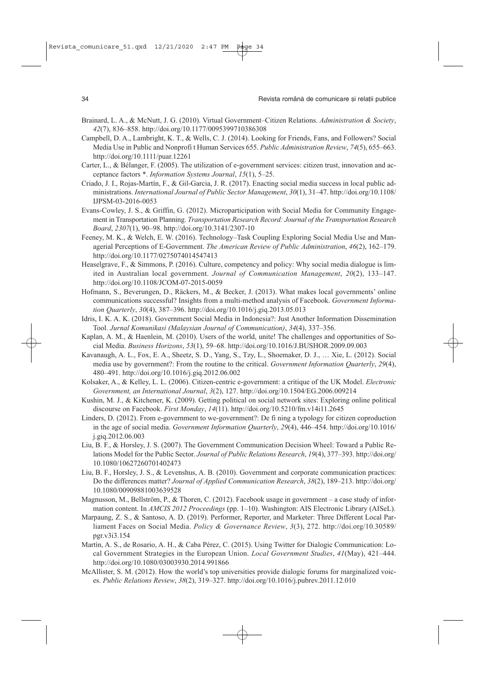- Brainard, L. A., & McNutt, J. G. (2010). Virtual Government–Citizen Relations. *Administration & Society*, *42*(7), 836–858. http://doi.org/10.1177/0095399710386308
- Campbell, D. A., Lambright, K. T., & Wells, C. J. (2014). Looking for Friends, Fans, and Followers? Social Media Use in Public and Nonprofi t Human Services 655. *Public Administration Review*, *74*(5), 655–663. http://doi.org/10.1111/puar.12261
- Carter, L., & Bélanger, F. (2005). The utilization of e-government services: citizen trust, innovation and acceptance factors \*. *Information Systems Journal*, *15*(1), 5–25.
- Criado, J. I., Rojas-Martín, F., & Gil-Garcia, J. R. (2017). Enacting social media success in local public administrations. *International Journal of Public Sector Management*, *30*(1), 31–47. http://doi.org/10.1108/ IJPSM-03-2016-0053
- Evans-Cowley, J. S., & Griffin, G. (2012). Microparticipation with Social Media for Community Engagement in Transportation Planning. *Transportation Research Record: Journal of the Transportation Research Board*, *2307*(1), 90–98. http://doi.org/10.3141/2307-10
- Feeney, M. K., & Welch, E. W. (2016). Technology–Task Coupling Exploring Social Media Use and Managerial Perceptions of E-Government. *The American Review of Public Administration*, *46*(2), 162–179. http://doi.org/10.1177/0275074014547413
- Heaselgrave, F., & Simmons, P. (2016). Culture, competency and policy: Why social media dialogue is limited in Australian local government. *Journal of Communication Management*, *20*(2), 133–147. http://doi.org/10.1108/JCOM-07-2015-0059
- Hofmann, S., Beverungen, D., Räckers, M., & Becker, J. (2013). What makes local governments' online communications successful? Insights from a multi-method analysis of Facebook. *Government Information Quarterly*, *30*(4), 387–396. http://doi.org/10.1016/j.giq.2013.05.013
- Idris, I. K. A. K. (2018). Government Social Media in Indonesia?: Just Another Information Dissemination Tool. *Jurnal Komunikasi (Malaysian Journal of Communication)*, *34*(4), 337–356.
- Kaplan, A. M., & Haenlein, M. (2010). Users of the world, unite! The challenges and opportunities of Social Media. *Business Horizons*, *53*(1), 59–68. http://doi.org/10.1016/J.BUSHOR.2009.09.003
- Kavanaugh, A. L., Fox, E. A., Sheetz, S. D., Yang, S., Tzy, L., Shoemaker, D. J., … Xie, L. (2012). Social media use by government?: From the routine to the critical. *Government Information Quarterly*, *29*(4), 480–491. http://doi.org/10.1016/j.giq.2012.06.002
- Kolsaker, A., & Kelley, L. L. (2006). Citizen-centric e-government: a critique of the UK Model. *Electronic Government, an International Journal*, *3*(2), 127. http://doi.org/10.1504/EG.2006.009214
- Kushin, M. J., & Kitchener, K. (2009). Getting political on social network sites: Exploring online political discourse on Facebook. *First Monday*, *14*(11). http://doi.org/10.5210/fm.v14i11.2645
- Linders, D. (2012). From e-government to we-government?: De fi ning a typology for citizen coproduction in the age of social media. *Government Information Quarterly*, *29*(4), 446–454. http://doi.org/10.1016/ j.giq.2012.06.003
- Liu, B. F., & Horsley, J. S. (2007). The Government Communication Decision Wheel: Toward a Public Relations Model for the Public Sector. *Journal of Public Relations Research*, *19*(4), 377–393. http://doi.org/ 10.1080/10627260701402473
- Liu, B. F., Horsley, J. S., & Levenshus, A. B. (2010). Government and corporate communication practices: Do the differences matter? *Journal of Applied Communication Research*, *38*(2), 189–213. http://doi.org/ 10.1080/00909881003639528
- Magnusson, M., Bellström, P., & Thoren, C. (2012). Facebook usage in government a case study of information content. In *AMCIS 2012 Proceedings* (pp. 1–10). Washington: AIS Electronic Library (AISeL).
- Marpaung, Z. S., & Santoso, A. D. (2019). Performer, Reporter, and Marketer: Three Different Local Parliament Faces on Social Media. *Policy & Governance Review*, *3*(3), 272. http://doi.org/10.30589/ pgr.v3i3.154
- Martín, A. S., de Rosario, A. H., & Caba Pérez, C. (2015). Using Twitter for Dialogic Communication: Local Government Strategies in the European Union. *Local Government Studies*, *41*(May), 421–444. http://doi.org/10.1080/03003930.2014.991866
- McAllister, S. M. (2012). How the world's top universities provide dialogic forums for marginalized voices. *Public Relations Review*, *38*(2), 319–327. http://doi.org/10.1016/j.pubrev.2011.12.010